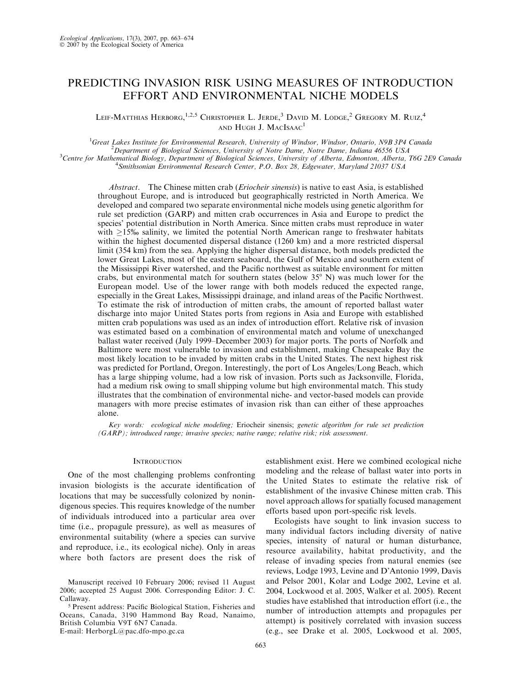# PREDICTING INVASION RISK USING MEASURES OF INTRODUCTION EFFORT AND ENVIRONMENTAL NICHE MODELS

Leif-Matthias Herborg,<sup>1,2,5</sup> Christopher L. Jerde,<sup>3</sup> David M. Lodge,<sup>2</sup> Gregory M. Ruiz,<sup>4</sup> AND HUGH J. MACISAAC<sup>1</sup>

<sup>1</sup>Great Lakes Institute for Environmental Research, University of Windsor, Windsor, Ontario, N9B 3P4 Canada<br><sup>2</sup> Denastment of Biological Sciences, University of Notre Dame, Notre Dame, Indiana 46556 US 4  $^2$ Department of Biological Sciences, University of Notre Dame, Notre Dame, Indiana 46556 USA  $C^3$ Centre for Mathematical Biology, Department of Biological Sciences, University of Alberta, Edmonton, Alberta, T6G 2E9 Canada Smithsonian Environmental Research Center, P.O. Box 28, Edgewater, Maryland 21037 USA

Abstract. The Chinese mitten crab (*Eriocheir sinensis*) is native to east Asia, is established throughout Europe, and is introduced but geographically restricted in North America. We developed and compared two separate environmental niche models using genetic algorithm for rule set prediction (GARP) and mitten crab occurrences in Asia and Europe to predict the species' potential distribution in North America. Since mitten crabs must reproduce in water with  $\geq$ 15‰ salinity, we limited the potential North American range to freshwater habitats within the highest documented dispersal distance (1260 km) and a more restricted dispersal limit (354 km) from the sea. Applying the higher dispersal distance, both models predicted the lower Great Lakes, most of the eastern seaboard, the Gulf of Mexico and southern extent of the Mississippi River watershed, and the Pacific northwest as suitable environment for mitten crabs, but environmental match for southern states (below  $35^{\circ}$  N) was much lower for the European model. Use of the lower range with both models reduced the expected range, especially in the Great Lakes, Mississippi drainage, and inland areas of the Pacific Northwest. To estimate the risk of introduction of mitten crabs, the amount of reported ballast water discharge into major United States ports from regions in Asia and Europe with established mitten crab populations was used as an index of introduction effort. Relative risk of invasion was estimated based on a combination of environmental match and volume of unexchanged ballast water received (July 1999–December 2003) for major ports. The ports of Norfolk and Baltimore were most vulnerable to invasion and establishment, making Chesapeake Bay the most likely location to be invaded by mitten crabs in the United States. The next highest risk was predicted for Portland, Oregon. Interestingly, the port of Los Angeles/Long Beach, which has a large shipping volume, had a low risk of invasion. Ports such as Jacksonville, Florida, had a medium risk owing to small shipping volume but high environmental match. This study illustrates that the combination of environmental niche- and vector-based models can provide managers with more precise estimates of invasion risk than can either of these approaches alone.

Key words: ecological niche modeling; Eriocheir sinensis; genetic algorithm for rule set prediction (GARP); introduced range; invasive species; native range; relative risk; risk assessment.

## **INTRODUCTION**

One of the most challenging problems confronting invasion biologists is the accurate identification of locations that may be successfully colonized by nonindigenous species. This requires knowledge of the number of individuals introduced into a particular area over time (i.e., propagule pressure), as well as measures of environmental suitability (where a species can survive and reproduce, i.e., its ecological niche). Only in areas where both factors are present does the risk of

E-mail: HerborgL@pac.dfo-mpo.gc.ca

establishment exist. Here we combined ecological niche modeling and the release of ballast water into ports in the United States to estimate the relative risk of establishment of the invasive Chinese mitten crab. This novel approach allows for spatially focused management efforts based upon port-specific risk levels.

Ecologists have sought to link invasion success to many individual factors including diversity of native species, intensity of natural or human disturbance, resource availability, habitat productivity, and the release of invading species from natural enemies (see reviews, Lodge 1993, Levine and D'Antonio 1999, Davis and Pelsor 2001, Kolar and Lodge 2002, Levine et al. 2004, Lockwood et al. 2005, Walker et al. 2005). Recent studies have established that introduction effort (i.e., the number of introduction attempts and propagules per attempt) is positively correlated with invasion success (e.g., see Drake et al. 2005, Lockwood et al. 2005,

Manuscript received 10 February 2006; revised 11 August 2006; accepted 25 August 2006. Corresponding Editor: J. C. Callaway.

<sup>5</sup> Present address: Pacific Biological Station, Fisheries and Oceans, Canada, 3190 Hammond Bay Road, Nanaimo, British Columbia V9T 6N7 Canada.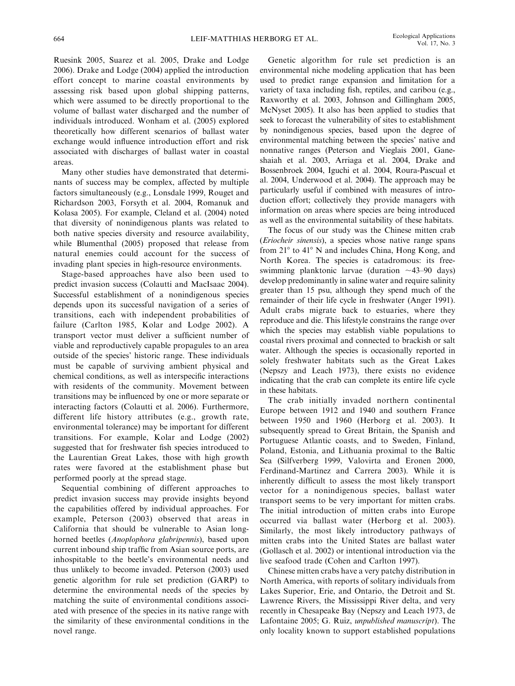Ruesink 2005, Suarez et al. 2005, Drake and Lodge 2006). Drake and Lodge (2004) applied the introduction effort concept to marine coastal environments by assessing risk based upon global shipping patterns, which were assumed to be directly proportional to the volume of ballast water discharged and the number of individuals introduced. Wonham et al. (2005) explored theoretically how different scenarios of ballast water exchange would influence introduction effort and risk associated with discharges of ballast water in coastal areas.

Many other studies have demonstrated that determinants of success may be complex, affected by multiple factors simultaneously (e.g., Lonsdale 1999, Rouget and Richardson 2003, Forsyth et al. 2004, Romanuk and Kolasa 2005). For example, Cleland et al. (2004) noted that diversity of nonindigenous plants was related to both native species diversity and resource availability, while Blumenthal (2005) proposed that release from natural enemies could account for the success of invading plant species in high-resource environments.

Stage-based approaches have also been used to predict invasion success (Colautti and MacIsaac 2004). Successful establishment of a nonindigenous species depends upon its successful navigation of a series of transitions, each with independent probabilities of failure (Carlton 1985, Kolar and Lodge 2002). A transport vector must deliver a sufficient number of viable and reproductively capable propagules to an area outside of the species' historic range. These individuals must be capable of surviving ambient physical and chemical conditions, as well as interspecific interactions with residents of the community. Movement between transitions may be influenced by one or more separate or interacting factors (Colautti et al. 2006). Furthermore, different life history attributes (e.g., growth rate, environmental tolerance) may be important for different transitions. For example, Kolar and Lodge (2002) suggested that for freshwater fish species introduced to the Laurentian Great Lakes, those with high growth rates were favored at the establishment phase but performed poorly at the spread stage.

Sequential combining of different approaches to predict invasion success may provide insights beyond the capabilities offered by individual approaches. For example, Peterson (2003) observed that areas in California that should be vulnerable to Asian longhorned beetles (Anoplophora glabripennis), based upon current inbound ship traffic from Asian source ports, are inhospitable to the beetle's environmental needs and thus unlikely to become invaded. Peterson (2003) used genetic algorithm for rule set prediction (GARP) to determine the environmental needs of the species by matching the suite of environmental conditions associated with presence of the species in its native range with the similarity of these environmental conditions in the novel range.

Genetic algorithm for rule set prediction is an environmental niche modeling application that has been used to predict range expansion and limitation for a variety of taxa including fish, reptiles, and caribou (e.g., Raxworthy et al. 2003, Johnson and Gillingham 2005, McNyset 2005). It also has been applied to studies that seek to forecast the vulnerability of sites to establishment by nonindigenous species, based upon the degree of environmental matching between the species' native and nonnative ranges (Peterson and Vieglais 2001, Ganeshaiah et al. 2003, Arriaga et al. 2004, Drake and Bossenbroek 2004, Iguchi et al. 2004, Roura-Pascual et al. 2004, Underwood et al. 2004). The approach may be particularly useful if combined with measures of introduction effort; collectively they provide managers with information on areas where species are being introduced as well as the environmental suitability of these habitats.

The focus of our study was the Chinese mitten crab (Eriocheir sinensis), a species whose native range spans from  $21^{\circ}$  to  $41^{\circ}$  N and includes China, Hong Kong, and North Korea. The species is catadromous: its freeswimming planktonic larvae (duration  $\sim$ 43–90 days) develop predominantly in saline water and require salinity greater than 15 psu, although they spend much of the remainder of their life cycle in freshwater (Anger 1991). Adult crabs migrate back to estuaries, where they reproduce and die. This lifestyle constrains the range over which the species may establish viable populations to coastal rivers proximal and connected to brackish or salt water. Although the species is occasionally reported in solely freshwater habitats such as the Great Lakes (Nepszy and Leach 1973), there exists no evidence indicating that the crab can complete its entire life cycle in these habitats.

The crab initially invaded northern continental Europe between 1912 and 1940 and southern France between 1950 and 1960 (Herborg et al. 2003). It subsequently spread to Great Britain, the Spanish and Portuguese Atlantic coasts, and to Sweden, Finland, Poland, Estonia, and Lithuania proximal to the Baltic Sea (Silfverberg 1999, Valovirta and Eronen 2000, Ferdinand-Martinez and Carrera 2003). While it is inherently difficult to assess the most likely transport vector for a nonindigenous species, ballast water transport seems to be very important for mitten crabs. The initial introduction of mitten crabs into Europe occurred via ballast water (Herborg et al. 2003). Similarly, the most likely introductory pathways of mitten crabs into the United States are ballast water (Gollasch et al. 2002) or intentional introduction via the live seafood trade (Cohen and Carlton 1997).

Chinese mitten crabs have a very patchy distribution in North America, with reports of solitary individuals from Lakes Superior, Erie, and Ontario, the Detroit and St. Lawrence Rivers, the Mississippi River delta, and very recently in Chesapeake Bay (Nepszy and Leach 1973, de Lafontaine 2005; G. Ruiz, unpublished manuscript). The only locality known to support established populations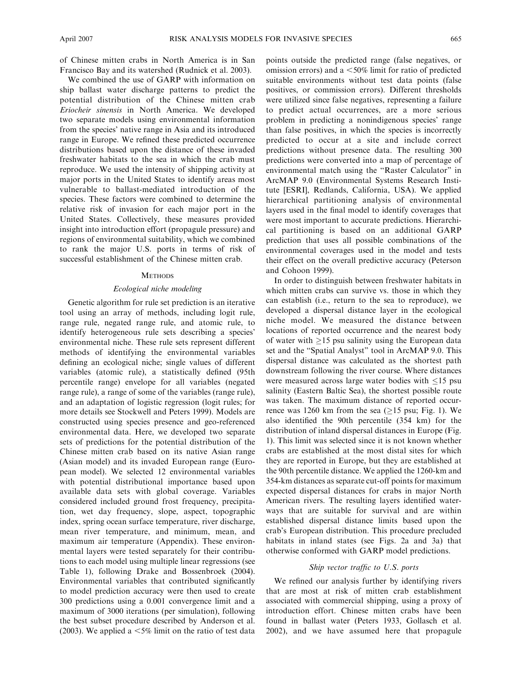of Chinese mitten crabs in North America is in San Francisco Bay and its watershed (Rudnick et al. 2003).

We combined the use of GARP with information on ship ballast water discharge patterns to predict the potential distribution of the Chinese mitten crab Eriocheir sinensis in North America. We developed two separate models using environmental information from the species' native range in Asia and its introduced range in Europe. We refined these predicted occurrence distributions based upon the distance of these invaded freshwater habitats to the sea in which the crab must reproduce. We used the intensity of shipping activity at major ports in the United States to identify areas most vulnerable to ballast-mediated introduction of the species. These factors were combined to determine the relative risk of invasion for each major port in the United States. Collectively, these measures provided insight into introduction effort (propagule pressure) and regions of environmental suitability, which we combined to rank the major U.S. ports in terms of risk of successful establishment of the Chinese mitten crab.

#### **METHODS**

#### Ecological niche modeling

Genetic algorithm for rule set prediction is an iterative tool using an array of methods, including logit rule, range rule, negated range rule, and atomic rule, to identify heterogeneous rule sets describing a species' environmental niche. These rule sets represent different methods of identifying the environmental variables defining an ecological niche; single values of different variables (atomic rule), a statistically defined (95th percentile range) envelope for all variables (negated range rule), a range of some of the variables (range rule), and an adaptation of logistic regression (logit rules; for more details see Stockwell and Peters 1999). Models are constructed using species presence and geo-referenced environmental data. Here, we developed two separate sets of predictions for the potential distribution of the Chinese mitten crab based on its native Asian range (Asian model) and its invaded European range (European model). We selected 12 environmental variables with potential distributional importance based upon available data sets with global coverage. Variables considered included ground frost frequency, precipitation, wet day frequency, slope, aspect, topographic index, spring ocean surface temperature, river discharge, mean river temperature, and minimum, mean, and maximum air temperature (Appendix). These environmental layers were tested separately for their contributions to each model using multiple linear regressions (see Table 1), following Drake and Bossenbroek (2004). Environmental variables that contributed significantly to model prediction accuracy were then used to create 300 predictions using a 0.001 convergence limit and a maximum of 3000 iterations (per simulation), following the best subset procedure described by Anderson et al. (2003). We applied a  $\leq 5\%$  limit on the ratio of test data

points outside the predicted range (false negatives, or omission errors) and a  $<50\%$  limit for ratio of predicted suitable environments without test data points (false positives, or commission errors). Different thresholds were utilized since false negatives, representing a failure to predict actual occurrences, are a more serious problem in predicting a nonindigenous species' range than false positives, in which the species is incorrectly predicted to occur at a site and include correct predictions without presence data. The resulting 300 predictions were converted into a map of percentage of environmental match using the ''Raster Calculator'' in ArcMAP 9.0 (Environmental Systems Research Institute [ESRI], Redlands, California, USA). We applied hierarchical partitioning analysis of environmental layers used in the final model to identify coverages that were most important to accurate predictions. Hierarchical partitioning is based on an additional GARP prediction that uses all possible combinations of the environmental coverages used in the model and tests their effect on the overall predictive accuracy (Peterson and Cohoon 1999).

In order to distinguish between freshwater habitats in which mitten crabs can survive vs. those in which they can establish (i.e., return to the sea to reproduce), we developed a dispersal distance layer in the ecological niche model. We measured the distance between locations of reported occurrence and the nearest body of water with  $>15$  psu salinity using the European data set and the ''Spatial Analyst'' tool in ArcMAP 9.0. This dispersal distance was calculated as the shortest path downstream following the river course. Where distances were measured across large water bodies with  $\leq$ 15 psu salinity (Eastern Baltic Sea), the shortest possible route was taken. The maximum distance of reported occurrence was 1260 km from the sea  $(>15 \text{ psu}; \text{Fig. 1}).$  We also identified the 90th percentile (354 km) for the distribution of inland dispersal distances in Europe (Fig. 1). This limit was selected since it is not known whether crabs are established at the most distal sites for which they are reported in Europe, but they are established at the 90th percentile distance. We applied the 1260-km and 354-km distances as separate cut-off points for maximum expected dispersal distances for crabs in major North American rivers. The resulting layers identified waterways that are suitable for survival and are within established dispersal distance limits based upon the crab's European distribution. This procedure precluded habitats in inland states (see Figs. 2a and 3a) that otherwise conformed with GARP model predictions.

## Ship vector traffic to U.S. ports

We refined our analysis further by identifying rivers that are most at risk of mitten crab establishment associated with commercial shipping, using a proxy of introduction effort. Chinese mitten crabs have been found in ballast water (Peters 1933, Gollasch et al. 2002), and we have assumed here that propagule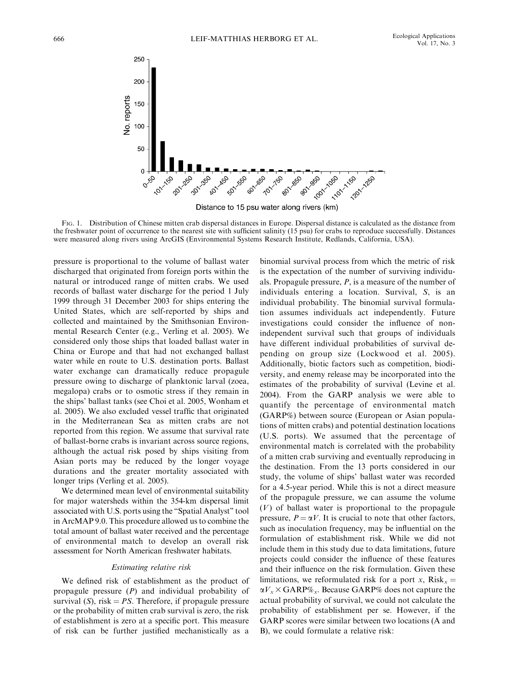

Distance to 15 psu water along rivers (km)

FIG. 1. Distribution of Chinese mitten crab dispersal distances in Europe. Dispersal distance is calculated as the distance from the freshwater point of occurrence to the nearest site with sufficient salinity (15 psu) for crabs to reproduce successfully. Distances were measured along rivers using ArcGIS (Environmental Systems Research Institute, Redlands, California, USA).

pressure is proportional to the volume of ballast water discharged that originated from foreign ports within the natural or introduced range of mitten crabs. We used records of ballast water discharge for the period 1 July 1999 through 31 December 2003 for ships entering the United States, which are self-reported by ships and collected and maintained by the Smithsonian Environmental Research Center (e.g., Verling et al. 2005). We considered only those ships that loaded ballast water in China or Europe and that had not exchanged ballast water while en route to U.S. destination ports. Ballast water exchange can dramatically reduce propagule pressure owing to discharge of planktonic larval (zoea, megalopa) crabs or to osmotic stress if they remain in the ships' ballast tanks (see Choi et al. 2005, Wonham et al. 2005). We also excluded vessel traffic that originated in the Mediterranean Sea as mitten crabs are not reported from this region. We assume that survival rate of ballast-borne crabs is invariant across source regions, although the actual risk posed by ships visiting from Asian ports may be reduced by the longer voyage durations and the greater mortality associated with longer trips (Verling et al. 2005).

We determined mean level of environmental suitability for major watersheds within the 354-km dispersal limit associated with U.S. ports using the ''Spatial Analyst'' tool in ArcMAP 9.0. This procedure allowed us to combine the total amount of ballast water received and the percentage of environmental match to develop an overall risk assessment for North American freshwater habitats.

#### Estimating relative risk

We defined risk of establishment as the product of propagule pressure (P) and individual probability of survival  $(S)$ , risk = PS. Therefore, if propagule pressure or the probability of mitten crab survival is zero, the risk of establishment is zero at a specific port. This measure of risk can be further justified mechanistically as a

binomial survival process from which the metric of risk is the expectation of the number of surviving individuals. Propagule pressure,  $P$ , is a measure of the number of individuals entering a location. Survival, S, is an individual probability. The binomial survival formulation assumes individuals act independently. Future investigations could consider the influence of nonindependent survival such that groups of individuals have different individual probabilities of survival depending on group size (Lockwood et al. 2005). Additionally, biotic factors such as competition, biodiversity, and enemy release may be incorporated into the estimates of the probability of survival (Levine et al. 2004). From the GARP analysis we were able to quantify the percentage of environmental match (GARP%) between source (European or Asian populations of mitten crabs) and potential destination locations (U.S. ports). We assumed that the percentage of environmental match is correlated with the probability of a mitten crab surviving and eventually reproducing in the destination. From the 13 ports considered in our study, the volume of ships' ballast water was recorded for a 4.5-year period. While this is not a direct measure of the propagule pressure, we can assume the volume  $(V)$  of ballast water is proportional to the propagule pressure,  $P = \alpha V$ . It is crucial to note that other factors, such as inoculation frequency, may be influential on the formulation of establishment risk. While we did not include them in this study due to data limitations, future projects could consider the influence of these features and their influence on the risk formulation. Given these limitations, we reformulated risk for a port x,  $Risk_x =$  $\alpha V_x \times \text{GARP}\%_x$ . Because GARP% does not capture the actual probability of survival, we could not calculate the probability of establishment per se. However, if the GARP scores were similar between two locations (A and B), we could formulate a relative risk: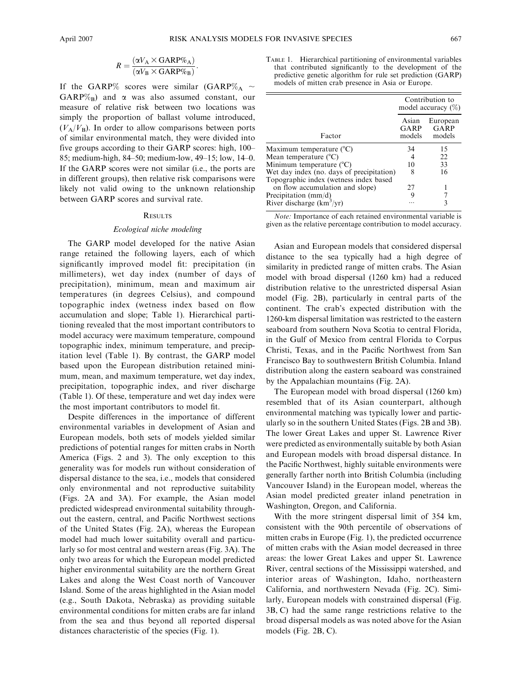$$
R = \frac{(\alpha V_{\rm A} \times \text{GARP}\%_{\rm A})}{(\alpha V_{\rm B} \times \text{GARP}\%_{\rm B})}.
$$

If the GARP% scores were similar (GARP%A  $\sim$ GARP%<sub>B</sub>) and  $\alpha$  was also assumed constant, our measure of relative risk between two locations was simply the proportion of ballast volume introduced,  $(V_A/V_B)$ . In order to allow comparisons between ports of similar environmental match, they were divided into five groups according to their GARP scores: high, 100– 85; medium-high, 84–50; medium-low, 49–15; low, 14–0. If the GARP scores were not similar (i.e., the ports are in different groups), then relative risk comparisons were likely not valid owing to the unknown relationship between GARP scores and survival rate.

## **RESULTS**

# Ecological niche modeling

The GARP model developed for the native Asian range retained the following layers, each of which significantly improved model fit: precipitation (in millimeters), wet day index (number of days of precipitation), minimum, mean and maximum air temperatures (in degrees Celsius), and compound topographic index (wetness index based on flow accumulation and slope; Table 1). Hierarchical partitioning revealed that the most important contributors to model accuracy were maximum temperature, compound topographic index, minimum temperature, and precipitation level (Table 1). By contrast, the GARP model based upon the European distribution retained minimum, mean, and maximum temperature, wet day index, precipitation, topographic index, and river discharge (Table 1). Of these, temperature and wet day index were the most important contributors to model fit.

Despite differences in the importance of different environmental variables in development of Asian and European models, both sets of models yielded similar predictions of potential ranges for mitten crabs in North America (Figs. 2 and 3). The only exception to this generality was for models run without consideration of dispersal distance to the sea, i.e., models that considered only environmental and not reproductive suitability (Figs. 2A and 3A). For example, the Asian model predicted widespread environmental suitability throughout the eastern, central, and Pacific Northwest sections of the United States (Fig. 2A), whereas the European model had much lower suitability overall and particularly so for most central and western areas (Fig. 3A). The only two areas for which the European model predicted higher environmental suitability are the northern Great Lakes and along the West Coast north of Vancouver Island. Some of the areas highlighted in the Asian model (e.g., South Dakota, Nebraska) as providing suitable environmental conditions for mitten crabs are far inland from the sea and thus beyond all reported dispersal distances characteristic of the species (Fig. 1).

TABLE 1. Hierarchical partitioning of environmental variables that contributed significantly to the development of the predictive genetic algorithm for rule set prediction (GARP) models of mitten crab presence in Asia or Europe.

|                                           | Contribution to<br>model accuracy $(\%)$ |                            |  |
|-------------------------------------------|------------------------------------------|----------------------------|--|
| Factor                                    | Asian<br>GARP<br>models                  | European<br>GARP<br>models |  |
| Maximum temperature $(C)$                 | 34                                       | 15                         |  |
| Mean temperature $(^{\circ}C)$            |                                          | 22                         |  |
| Minimum temperature $(^{\circ}C)$         | 10                                       | 33                         |  |
| Wet day index (no. days of precipitation) | 8                                        | 16                         |  |
| Topographic index (wetness index based    |                                          |                            |  |
| on flow accumulation and slope)           | 27                                       |                            |  |
| Precipitation (mm/d)                      | 9                                        |                            |  |
| River discharge $(km^2/yr)$               |                                          |                            |  |

Note: Importance of each retained environmental variable is given as the relative percentage contribution to model accuracy.

Asian and European models that considered dispersal distance to the sea typically had a high degree of similarity in predicted range of mitten crabs. The Asian model with broad dispersal (1260 km) had a reduced distribution relative to the unrestricted dispersal Asian model (Fig. 2B), particularly in central parts of the continent. The crab's expected distribution with the 1260-km dispersal limitation was restricted to the eastern seaboard from southern Nova Scotia to central Florida, in the Gulf of Mexico from central Florida to Corpus Christi, Texas, and in the Pacific Northwest from San Francisco Bay to southwestern British Columbia. Inland distribution along the eastern seaboard was constrained by the Appalachian mountains (Fig. 2A).

The European model with broad dispersal (1260 km) resembled that of its Asian counterpart, although environmental matching was typically lower and particularly so in the southern United States (Figs. 2B and 3B). The lower Great Lakes and upper St. Lawrence River were predicted as environmentally suitable by both Asian and European models with broad dispersal distance. In the Pacific Northwest, highly suitable environments were generally farther north into British Columbia (including Vancouver Island) in the European model, whereas the Asian model predicted greater inland penetration in Washington, Oregon, and California.

With the more stringent dispersal limit of 354 km, consistent with the 90th percentile of observations of mitten crabs in Europe (Fig. 1), the predicted occurrence of mitten crabs with the Asian model decreased in three areas: the lower Great Lakes and upper St. Lawrence River, central sections of the Mississippi watershed, and interior areas of Washington, Idaho, northeastern California, and northwestern Nevada (Fig. 2C). Similarly, European models with constrained dispersal (Fig. 3B, C) had the same range restrictions relative to the broad dispersal models as was noted above for the Asian models (Fig. 2B, C).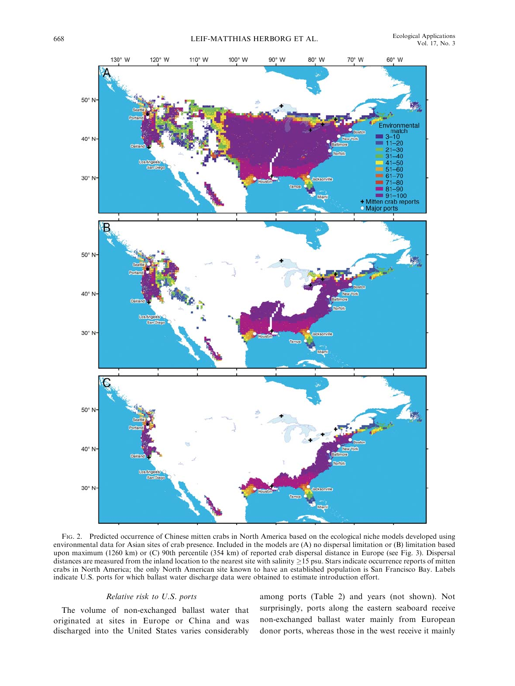

FIG. 2. Predicted occurrence of Chinese mitten crabs in North America based on the ecological niche models developed using environmental data for Asian sites of crab presence. Included in the models are (A) no dispersal limitation or (B) limitation based upon maximum (1260 km) or (C) 90th percentile (354 km) of reported crab dispersal distance in Europe (see Fig. 3). Dispersal distances are measured from the inland location to the nearest site with salinity  $\geq$ 15 psu. Stars indicate occurrence reports of mitten crabs in North America; the only North American site known to have an established population is San Francisco Bay. Labels indicate U.S. ports for which ballast water discharge data were obtained to estimate introduction effort.

## Relative risk to U.S. ports

The volume of non-exchanged ballast water that originated at sites in Europe or China and was discharged into the United States varies considerably among ports (Table 2) and years (not shown). Not surprisingly, ports along the eastern seaboard receive non-exchanged ballast water mainly from European donor ports, whereas those in the west receive it mainly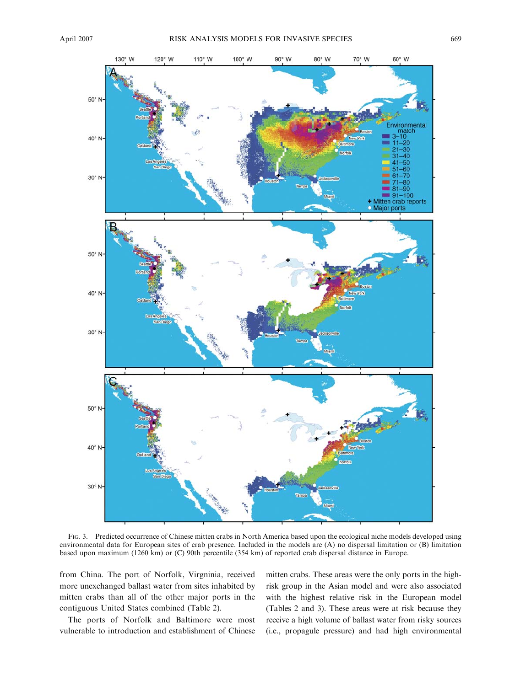

FIG. 3. Predicted occurrence of Chinese mitten crabs in North America based upon the ecological niche models developed using environmental data for European sites of crab presence. Included in the models are (A) no dispersal limitation or (B) limitation based upon maximum (1260 km) or (C) 90th percentile (354 km) of reported crab dispersal distance in Europe.

from China. The port of Norfolk, Virgninia, received more unexchanged ballast water from sites inhabited by mitten crabs than all of the other major ports in the contiguous United States combined (Table 2).

The ports of Norfolk and Baltimore were most vulnerable to introduction and establishment of Chinese mitten crabs. These areas were the only ports in the highrisk group in the Asian model and were also associated with the highest relative risk in the European model (Tables 2 and 3). These areas were at risk because they receive a high volume of ballast water from risky sources (i.e., propagule pressure) and had high environmental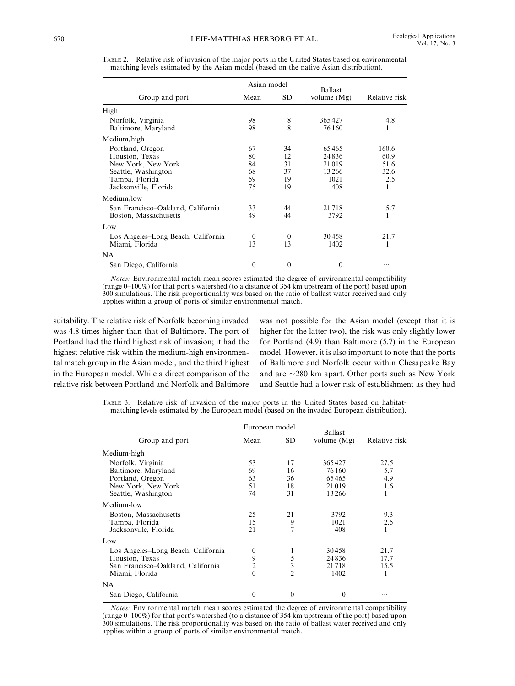|                                    | Asian model |              | <b>Ballast</b> |               |
|------------------------------------|-------------|--------------|----------------|---------------|
| Group and port                     | Mean        | <b>SD</b>    | volume $(Mg)$  | Relative risk |
| High                               |             |              |                |               |
| Norfolk, Virginia                  | 98          | 8            | 365427         | 4.8           |
| Baltimore, Maryland                | 98          | 8            | 76 160         | 1             |
| Medium/high                        |             |              |                |               |
| Portland, Oregon                   | 67          | 34           | 65465          | 160.6         |
| Houston, Texas                     | 80          | 12           | 24836          | 60.9          |
| New York, New York                 | 84          | 31           | 21019          | 51.6          |
| Seattle, Washington                | 68          | 37           | 13 266         | 32.6          |
| Tampa, Florida                     | 59          | 19           | 1021           | 2.5           |
| Jacksonville, Florida              | 75          | 19           | 408            | 1             |
| Medium/low                         |             |              |                |               |
| San Francisco–Oakland, California  | 33          | 44           | 21718          | 5.7           |
| Boston, Massachusetts              | 49          | 44           | 3792           | 1             |
| Low                                |             |              |                |               |
| Los Angeles-Long Beach, California | $\theta$    | $\bf{0}$     | 30458          | 21.7          |
| Miami, Florida                     | 13          | 13           | 1402           | 1             |
| <b>NA</b>                          |             |              |                |               |
| San Diego, California              | $\theta$    | $\mathbf{0}$ | $\theta$       |               |

TABLE 2. Relative risk of invasion of the major ports in the United States based on environmental matching levels estimated by the Asian model (based on the native Asian distribution).

Notes: Environmental match mean scores estimated the degree of environmental compatibility (range 0–100%) for that port's watershed (to a distance of 354 km upstream of the port) based upon 300 simulations. The risk proportionality was based on the ratio of ballast water received and only applies within a group of ports of similar environmental match.

suitability. The relative risk of Norfolk becoming invaded was 4.8 times higher than that of Baltimore. The port of Portland had the third highest risk of invasion; it had the highest relative risk within the medium-high environmental match group in the Asian model, and the third highest in the European model. While a direct comparison of the relative risk between Portland and Norfolk and Baltimore was not possible for the Asian model (except that it is higher for the latter two), the risk was only slightly lower for Portland (4.9) than Baltimore (5.7) in the European model. However, it is also important to note that the ports of Baltimore and Norfolk occur within Chesapeake Bay and are  $\sim$ 280 km apart. Other ports such as New York and Seattle had a lower risk of establishment as they had

TABLE 3. Relative risk of invasion of the major ports in the United States based on habitatmatching levels estimated by the European model (based on the invaded European distribution).

| Group and port                     | European model |                | <b>Ballast</b> |               |
|------------------------------------|----------------|----------------|----------------|---------------|
|                                    | Mean           | SD             | volume $(Mg)$  | Relative risk |
| Medium-high                        |                |                |                |               |
| Norfolk, Virginia                  | 53             | 17             | 365427         | 27.5          |
| Baltimore, Maryland                | 69             | 16             | 76160          | 5.7           |
| Portland, Oregon                   | 63             | 36             | 65465          | 4.9           |
| New York, New York                 | 51             | 18             | 21019          | 1.6           |
| Seattle, Washington                | 74             | 31             | 13266          | 1             |
| Medium-low                         |                |                |                |               |
| Boston, Massachusetts              | 25             | 21             | 3792           | 9.3           |
| Tampa, Florida                     | 15             | 9              | 1021           | 2.5           |
| Jacksonville, Florida              | 21             | 7              | 408            | 1             |
| Low                                |                |                |                |               |
| Los Angeles-Long Beach, California | $\theta$       |                | 30458          | 21.7          |
| Houston, Texas                     | 9              | 5              | 24836          | 17.7          |
| San Francisco-Oakland, California  | 2              | 3              | 21718          | 15.5          |
| Miami, Florida                     | $\Omega$       | $\overline{c}$ | 1402           | 1             |
| NA                                 |                |                |                |               |
| San Diego, California              | $\theta$       | $\theta$       | 0              |               |

Notes: Environmental match mean scores estimated the degree of environmental compatibility (range 0–100%) for that port's watershed (to a distance of 354 km upstream of the port) based upon 300 simulations. The risk proportionality was based on the ratio of ballast water received and only applies within a group of ports of similar environmental match.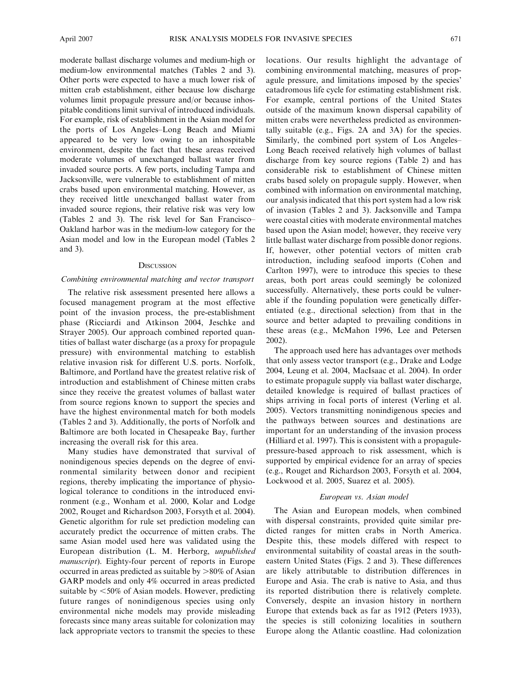moderate ballast discharge volumes and medium-high or medium-low environmental matches (Tables 2 and 3). Other ports were expected to have a much lower risk of mitten crab establishment, either because low discharge volumes limit propagule pressure and/or because inhospitable conditions limit survival of introduced individuals. For example, risk of establishment in the Asian model for the ports of Los Angeles–Long Beach and Miami appeared to be very low owing to an inhospitable environment, despite the fact that these areas received moderate volumes of unexchanged ballast water from invaded source ports. A few ports, including Tampa and Jacksonville, were vulnerable to establishment of mitten crabs based upon environmental matching. However, as they received little unexchanged ballast water from invaded source regions, their relative risk was very low (Tables 2 and 3). The risk level for San Francisco– Oakland harbor was in the medium-low category for the Asian model and low in the European model (Tables 2 and 3).

#### **DISCUSSION**

#### Combining environmental matching and vector transport

The relative risk assessment presented here allows a focused management program at the most effective point of the invasion process, the pre-establishment phase (Ricciardi and Atkinson 2004, Jeschke and Strayer 2005). Our approach combined reported quantities of ballast water discharge (as a proxy for propagule pressure) with environmental matching to establish relative invasion risk for different U.S. ports. Norfolk, Baltimore, and Portland have the greatest relative risk of introduction and establishment of Chinese mitten crabs since they receive the greatest volumes of ballast water from source regions known to support the species and have the highest environmental match for both models (Tables 2 and 3). Additionally, the ports of Norfolk and Baltimore are both located in Chesapeake Bay, further increasing the overall risk for this area.

Many studies have demonstrated that survival of nonindigenous species depends on the degree of environmental similarity between donor and recipient regions, thereby implicating the importance of physiological tolerance to conditions in the introduced environment (e.g., Wonham et al. 2000, Kolar and Lodge 2002, Rouget and Richardson 2003, Forsyth et al. 2004). Genetic algorithm for rule set prediction modeling can accurately predict the occurrence of mitten crabs. The same Asian model used here was validated using the European distribution (L. M. Herborg, unpublished manuscript). Eighty-four percent of reports in Europe occurred in areas predicted as suitable by  $>80\%$  of Asian GARP models and only 4% occurred in areas predicted suitable by  $\leq 50\%$  of Asian models. However, predicting future ranges of nonindigenous species using only environmental niche models may provide misleading forecasts since many areas suitable for colonization may lack appropriate vectors to transmit the species to these locations. Our results highlight the advantage of combining environmental matching, measures of propagule pressure, and limitations imposed by the species' catadromous life cycle for estimating establishment risk. For example, central portions of the United States outside of the maximum known dispersal capability of mitten crabs were nevertheless predicted as environmentally suitable (e.g., Figs. 2A and 3A) for the species. Similarly, the combined port system of Los Angeles– Long Beach received relatively high volumes of ballast discharge from key source regions (Table 2) and has considerable risk to establishment of Chinese mitten crabs based solely on propagule supply. However, when combined with information on environmental matching, our analysis indicated that this port system had a low risk of invasion (Tables 2 and 3). Jacksonville and Tampa were coastal cities with moderate environmental matches based upon the Asian model; however, they receive very little ballast water discharge from possible donor regions. If, however, other potential vectors of mitten crab introduction, including seafood imports (Cohen and Carlton 1997), were to introduce this species to these areas, both port areas could seemingly be colonized successfully. Alternatively, these ports could be vulnerable if the founding population were genetically differentiated (e.g., directional selection) from that in the source and better adapted to prevailing conditions in these areas (e.g., McMahon 1996, Lee and Petersen 2002).

The approach used here has advantages over methods that only assess vector transport (e.g., Drake and Lodge 2004, Leung et al. 2004, MacIsaac et al. 2004). In order to estimate propagule supply via ballast water discharge, detailed knowledge is required of ballast practices of ships arriving in focal ports of interest (Verling et al. 2005). Vectors transmitting nonindigenous species and the pathways between sources and destinations are important for an understanding of the invasion process (Hilliard et al. 1997). This is consistent with a propagulepressure-based approach to risk assessment, which is supported by empirical evidence for an array of species (e.g., Rouget and Richardson 2003, Forsyth et al. 2004, Lockwood et al. 2005, Suarez et al. 2005).

## European vs. Asian model

The Asian and European models, when combined with dispersal constraints, provided quite similar predicted ranges for mitten crabs in North America. Despite this, these models differed with respect to environmental suitability of coastal areas in the southeastern United States (Figs. 2 and 3). These differences are likely attributable to distribution differences in Europe and Asia. The crab is native to Asia, and thus its reported distribution there is relatively complete. Conversely, despite an invasion history in northern Europe that extends back as far as 1912 (Peters 1933), the species is still colonizing localities in southern Europe along the Atlantic coastline. Had colonization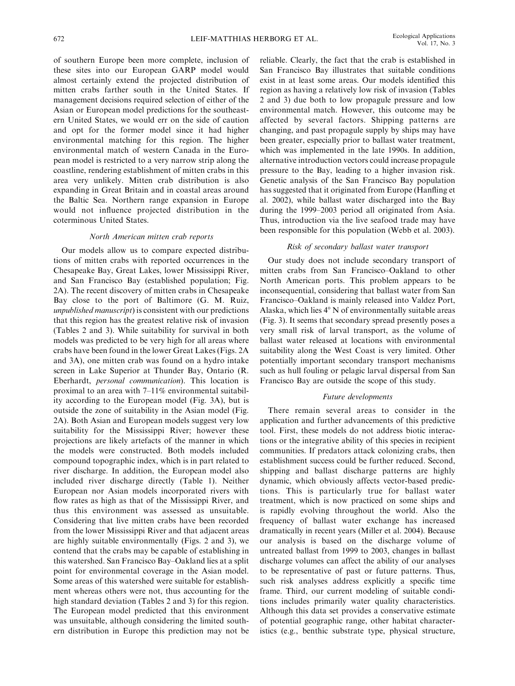of southern Europe been more complete, inclusion of these sites into our European GARP model would almost certainly extend the projected distribution of mitten crabs farther south in the United States. If management decisions required selection of either of the Asian or European model predictions for the southeastern United States, we would err on the side of caution and opt for the former model since it had higher environmental matching for this region. The higher environmental match of western Canada in the European model is restricted to a very narrow strip along the coastline, rendering establishment of mitten crabs in this area very unlikely. Mitten crab distribution is also expanding in Great Britain and in coastal areas around the Baltic Sea. Northern range expansion in Europe would not influence projected distribution in the coterminous United States.

### North American mitten crab reports

Our models allow us to compare expected distributions of mitten crabs with reported occurrences in the Chesapeake Bay, Great Lakes, lower Mississippi River, and San Francisco Bay (established population; Fig. 2A). The recent discovery of mitten crabs in Chesapeake Bay close to the port of Baltimore (G. M. Ruiz, unpublished manuscript) is consistent with our predictions that this region has the greatest relative risk of invasion (Tables 2 and 3). While suitability for survival in both models was predicted to be very high for all areas where crabs have been found in the lower Great Lakes (Figs. 2A and 3A), one mitten crab was found on a hydro intake screen in Lake Superior at Thunder Bay, Ontario (R. Eberhardt, personal communication). This location is proximal to an area with 7–11% environmental suitability according to the European model (Fig. 3A), but is outside the zone of suitability in the Asian model (Fig. 2A). Both Asian and European models suggest very low suitability for the Mississippi River; however these projections are likely artefacts of the manner in which the models were constructed. Both models included compound topographic index, which is in part related to river discharge. In addition, the European model also included river discharge directly (Table 1). Neither European nor Asian models incorporated rivers with flow rates as high as that of the Mississippi River, and thus this environment was assessed as unsuitable. Considering that live mitten crabs have been recorded from the lower Mississippi River and that adjacent areas are highly suitable environmentally (Figs. 2 and 3), we contend that the crabs may be capable of establishing in this watershed. San Francisco Bay–Oakland lies at a split point for environmental coverage in the Asian model. Some areas of this watershed were suitable for establishment whereas others were not, thus accounting for the high standard deviation (Tables 2 and 3) for this region. The European model predicted that this environment was unsuitable, although considering the limited southern distribution in Europe this prediction may not be

reliable. Clearly, the fact that the crab is established in San Francisco Bay illustrates that suitable conditions exist in at least some areas. Our models identified this region as having a relatively low risk of invasion (Tables 2 and 3) due both to low propagule pressure and low environmental match. However, this outcome may be affected by several factors. Shipping patterns are changing, and past propagule supply by ships may have been greater, especially prior to ballast water treatment, which was implemented in the late 1990s. In addition, alternative introduction vectors could increase propagule pressure to the Bay, leading to a higher invasion risk. Genetic analysis of the San Francisco Bay population has suggested that it originated from Europe (Hanfling et al. 2002), while ballast water discharged into the Bay during the 1999–2003 period all originated from Asia. Thus, introduction via the live seafood trade may have been responsible for this population (Webb et al. 2003).

# Risk of secondary ballast water transport

Our study does not include secondary transport of mitten crabs from San Francisco–Oakland to other North American ports. This problem appears to be inconsequential, considering that ballast water from San Francisco–Oakland is mainly released into Valdez Port, Alaska, which lies  $4^\circ$  N of environmentally suitable areas (Fig. 3). It seems that secondary spread presently poses a very small risk of larval transport, as the volume of ballast water released at locations with environmental suitability along the West Coast is very limited. Other potentially important secondary transport mechanisms such as hull fouling or pelagic larval dispersal from San Francisco Bay are outside the scope of this study.

#### Future developments

There remain several areas to consider in the application and further advancements of this predictive tool. First, these models do not address biotic interactions or the integrative ability of this species in recipient communities. If predators attack colonizing crabs, then establishment success could be further reduced. Second, shipping and ballast discharge patterns are highly dynamic, which obviously affects vector-based predictions. This is particularly true for ballast water treatment, which is now practiced on some ships and is rapidly evolving throughout the world. Also the frequency of ballast water exchange has increased dramatically in recent years (Miller et al. 2004). Because our analysis is based on the discharge volume of untreated ballast from 1999 to 2003, changes in ballast discharge volumes can affect the ability of our analyses to be representative of past or future patterns. Thus, such risk analyses address explicitly a specific time frame. Third, our current modeling of suitable conditions includes primarily water quality characteristics. Although this data set provides a conservative estimate of potential geographic range, other habitat characteristics (e.g., benthic substrate type, physical structure,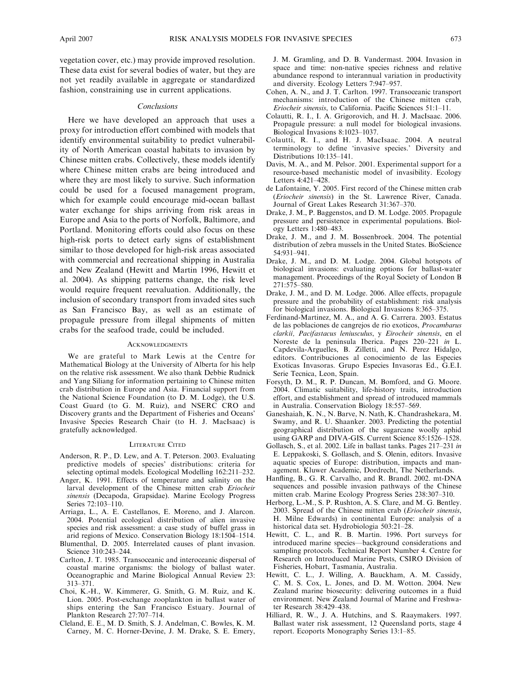vegetation cover, etc.) may provide improved resolution. These data exist for several bodies of water, but they are not yet readily available in aggregate or standardized fashion, constraining use in current applications.

#### Conclusions

Here we have developed an approach that uses a proxy for introduction effort combined with models that identify environmental suitability to predict vulnerability of North American coastal habitats to invasion by Chinese mitten crabs. Collectively, these models identify where Chinese mitten crabs are being introduced and where they are most likely to survive. Such information could be used for a focused management program, which for example could encourage mid-ocean ballast water exchange for ships arriving from risk areas in Europe and Asia to the ports of Norfolk, Baltimore, and Portland. Monitoring efforts could also focus on these high-risk ports to detect early signs of establishment similar to those developed for high-risk areas associated with commercial and recreational shipping in Australia and New Zealand (Hewitt and Martin 1996, Hewitt et al. 2004). As shipping patterns change, the risk level would require frequent reevaluation. Additionally, the inclusion of secondary transport from invaded sites such as San Francisco Bay, as well as an estimate of propagule pressure from illegal shipments of mitten crabs for the seafood trade, could be included.

#### **ACKNOWLEDGMENTS**

We are grateful to Mark Lewis at the Centre for Mathematical Biology at the University of Alberta for his help on the relative risk assessment. We also thank Debbie Rudnick and Yang Siliang for information pertaining to Chinese mitten crab distribution in Europe and Asia. Financial support from the National Science Foundation (to D. M. Lodge), the U.S. Coast Guard (to G. M. Ruiz), and NSERC CRO and Discovery grants and the Department of Fisheries and Oceans' Invasive Species Research Chair (to H. J. MacIsaac) is gratefully acknowledged.

#### LITERATURE CITED

- Anderson, R. P., D. Lew, and A. T. Peterson. 2003. Evaluating predictive models of species' distributions: criteria for selecting optimal models. Ecological Modelling 162:211–232.
- Anger, K. 1991. Effects of temperature and salinity on the larval development of the Chinese mitten crab Eriocheir sinensis (Decapoda, Grapsidae). Marine Ecology Progress Series 72:103–110.
- Arriaga, L., A. E. Castellanos, E. Moreno, and J. Alarcon. 2004. Potential ecological distribution of alien invasive species and risk assessment: a case study of buffel grass in arid regions of Mexico. Conservation Biology 18:1504–1514. Blumenthal, D. 2005. Interrelated causes of plant invasion.
- Science 310:243–244.
- Carlton, J. T. 1985. Transoceanic and interoceanic dispersal of coastal marine organisms: the biology of ballast water. Oceanographic and Marine Biological Annual Review 23: 313–371.
- Choi, K.-H., W. Kimmerer, G. Smith, G. M. Ruiz, and K. Lion. 2005. Post-exchange zooplankton in ballast water of ships entering the San Francisco Estuary. Journal of Plankton Research 27:707–714.
- Cleland, E. E., M. D. Smith, S. J. Andelman, C. Bowles, K. M. Carney, M. C. Horner-Devine, J. M. Drake, S. E. Emery,

J. M. Gramling, and D. B. Vandermast. 2004. Invasion in space and time: non-native species richness and relative abundance respond to interannual variation in productivity and diversity. Ecology Letters 7:947–957.

- Cohen, A. N., and J. T. Carlton. 1997. Transoceanic transport mechanisms: introduction of the Chinese mitten crab, Eriocheir sinensis, to California. Pacific Sciences 51:1–11.
- Colautti, R. I., I. A. Grigorovich, and H. J. MacIsaac. 2006. Propagule pressure: a null model for biological invasions. Biological Invasions 8:1023–1037.
- Colautti, R. I., and H. J. MacIsaac. 2004. A neutral terminology to define 'invasive species.' Diversity and Distributions 10:135–141.
- Davis, M. A., and M. Pelsor. 2001. Experimental support for a resource-based mechanistic model of invasibility. Ecology Letters 4:421–428.
- de Lafontaine, Y. 2005. First record of the Chinese mitten crab (Eriocheir sinensis) in the St. Lawrence River, Canada. Journal of Great Lakes Research 31:367–370.
- Drake, J. M., P. Baggenstos, and D. M. Lodge. 2005. Propagule pressure and persistence in experimental populations. Biology Letters 1:480–483.
- Drake, J. M., and J. M. Bossenbroek. 2004. The potential distribution of zebra mussels in the United States. BioScience 54:931–941.
- Drake, J. M., and D. M. Lodge. 2004. Global hotspots of biological invasions: evaluating options for ballast-water management. Proceedings of the Royal Society of London B 271:575–580.
- Drake, J. M., and D. M. Lodge. 2006. Allee effects, propagule pressure and the probability of establishment: risk analysis for biological invasions. Biological Invasions 8:365–375.
- Ferdinand-Martinez, M. A., and A. G. Carrera. 2003. Estatus de las poblaciones de cangrejos de rio exoticos, Procambarus clarkii, Pacifastacus leniusculus, y Eirocheir sinensis, en el Noreste de la peninsula Iberica. Pages 220–221 in L. Capdevila-Arguelles, B. Zilletti, and N. Perez Hidalgo, editors. Contribuciones al conocimiento de las Especies Exoticas Invasoras. Grupo Especies Invasoras Ed., G.E.I. Serie Tecnica, Leon, Spain.
- Forsyth, D. M., R. P. Duncan, M. Bomford, and G. Moore. 2004. Climatic suitability, life-history traits, introduction effort, and establishment and spread of introduced mammals in Australia. Conservation Biology 18:557–569.
- Ganeshaiah, K. N., N. Barve, N. Nath, K. Chandrashekara, M. Swamy, and R. U. Shaanker. 2003. Predicting the potential geographical distribution of the sugarcane woolly aphid using GARP and DIVA-GIS. Current Science 85:1526–1528.
- Gollasch, S., et al. 2002. Life in ballast tanks. Pages 217–231 in E. Leppakoski, S. Gollasch, and S. Olenin, editors. Invasive aquatic species of Europe: distribution, impacts and management. Kluwer Academic, Dordrecht, The Netherlands.
- Hanfling, B., G. R. Carvalho, and R. Brandl. 2002. mt-DNA sequences and possible invasion pathways of the Chinese mitten crab. Marine Ecology Progress Series 238:307–310.
- Herborg, L.-M., S. P. Rushton, A. S. Clare, and M. G. Bentley. 2003. Spread of the Chinese mitten crab (Eriocheir sinensis, H. Milne Edwards) in continental Europe: analysis of a historical data set. Hydrobiologia 503:21–28.
- Hewitt, C. L., and R. B. Martin. 1996. Port surveys for introduced marine species—background considerations and sampling protocols. Technical Report Number 4. Centre for Research on Introduced Marine Pests, CSIRO Division of Fisheries, Hobart, Tasmania, Australia.
- Hewitt, C. L., J. Willing, A. Bauckham, A. M. Cassidy, C. M. S. Cox, L. Jones, and D. M. Wotton. 2004. New Zealand marine biosecurity: delivering outcomes in a fluid environment. New Zealand Journal of Marine and Freshwater Research 38:429–438.
- Hilliard, R. W., J. A. Hutchins, and S. Raaymakers. 1997. Ballast water risk assessment, 12 Queensland ports, stage 4 report. Ecoports Monography Series 13:1–85.